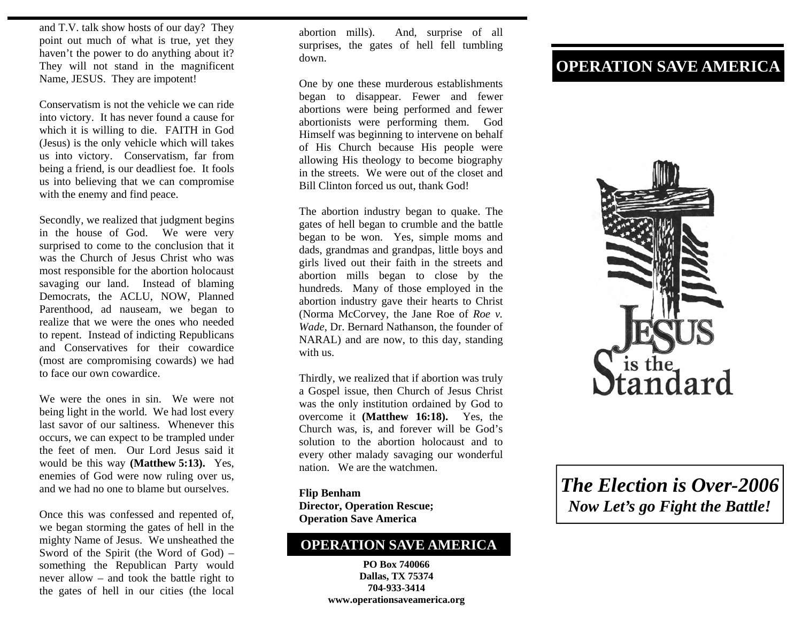and T.V. talk show hosts of our day? They point out much of what is true, yet they haven't the power to do anything about it? They will not stand in the magnificent Name, JESUS. They are impotent!

Conservatism is not the vehicle we can ride into victory. It has never found a cause for which it is willing to die. FAITH in God (Jesus) is the only vehicle which will takes us into victory. Conservatism, far from being a friend, is our deadliest foe. It fools us into believing that we can compromise with the enemy and find peace.

Secondly, we realized that judgment begins in the house of God. We were very surprised to come to the conclusion that it was the Church of Jesus Christ who was most responsible for the abortion holocaust savaging our land. Instead of blaming Democrats, the ACLU, NOW, Planned Parenthood, ad nauseam, we began to realize that we were the ones who needed to repent. Instead of indicting Republicans and Conservatives for their cowardice (most are compromising cowards) we had to face our own cowardice.

We were the ones in sin. We were not being light in the world. We had lost every last savor of our saltiness. Whenever this occurs, we can expect to be trampled under the feet of men. Our Lord Jesus said it would be this way **(Matthew 5:13).** Yes, enemies of God were now ruling over us, and we had no one to blame but ourselves.

Once this was confessed and repented of, we began storming the gates of hell in the mighty Name of Jesus. We unsheathed the Sword of the Spirit (the Word of God) – something the Republican Party would never allow – and took the battle right to the gates of hell in our cities (the local

abortion mills). And, surprise of all surprises, the gates of hell fell tumbling down.

One by one these murderous establishments began to disappear. Fewer and fewer abortions were being performed and fewer abortionists were performing them. God Himself was beginning to intervene on behalf of His Church because His people were allowing His theology to become biography in the streets. We were out of the closet and Bill Clinton forced us out, thank God!

The abortion industry began to quake. The gates of hell began to crumble and the battle began to be won. Yes, simple moms and dads, grandmas and grandpas, little boys and girls lived out their faith in the streets and abortion mills began to close by the hundreds. Many of those employed in the abortion industry gave their hearts to Christ (Norma McCorvey, the Jane Roe of *Roe v. Wade*, Dr. Bernard Nathanson, the founder of NARAL) and are now, to this day, standing with us.

Thirdly, we realized that if abortion was truly a Gospel issue, then Church of Jesus Christ was the only institution ordained by God to overcome it **(Matthew 16:18).** Yes, the Church was, is, and forever will be God's solution to the abortion holocaust and to every other malady savaging our wonderful nation. We are the watchmen.

**Flip Benham Director, Operation Rescue; Operation Save America** 

## **OPERATION SAVE AMERICA**

**PO Box 740066 Dallas, TX 75374 704-933-3414 www.operationsaveamerica.org** 

## **OPERATION SAVE AMERICA**



*The Election is Over-2006 Now Let's go Fight the Battle!*